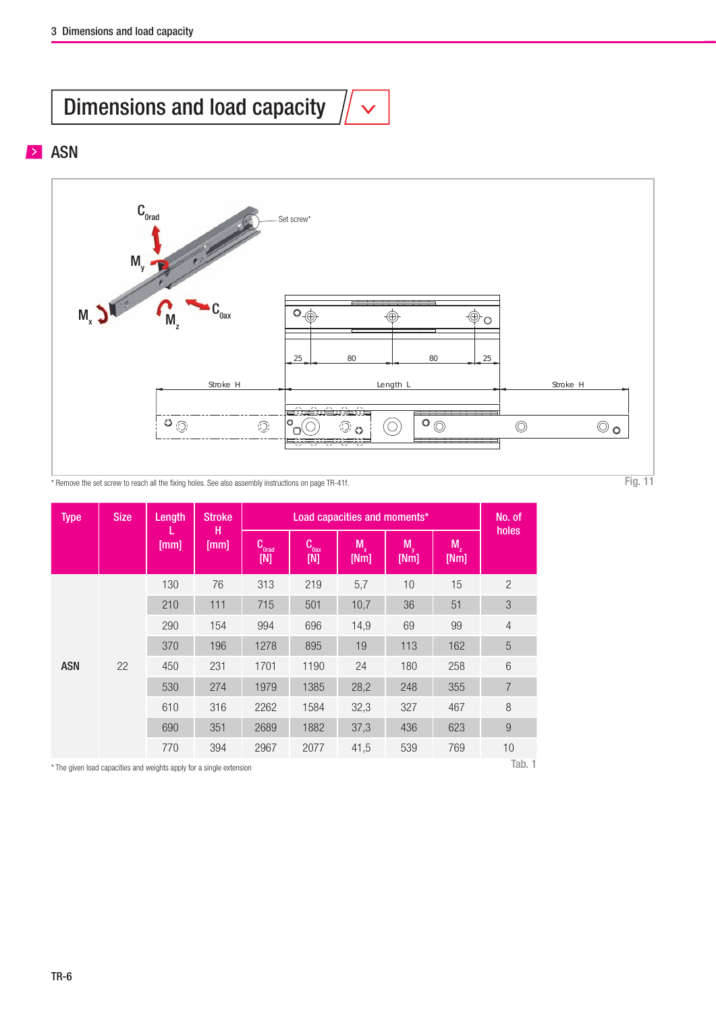## Dimensions and load capacity

## **ASN**



\* Remove the set screw to reach all the fixing holes. See also assembly instructions on page TR-41f. Fig. 11 \* Remove the set screw to reach all the fixing holes. See also assembly instructions on page TR-41f.

| <b>Type</b> | <b>Size</b> | Length<br>[mm] | <b>Stroke</b><br>н<br>[mm] |                | No. of               |                 |                   |                     |                  |
|-------------|-------------|----------------|----------------------------|----------------|----------------------|-----------------|-------------------|---------------------|------------------|
|             |             |                |                            | Corac<br>$[M]$ | Coast<br>$[{\sf N}]$ | $M_{x}$<br>[Nm] | <b>My</b><br>[Nm] | $M_{\rm z}$<br>[Nm] | holes            |
| <b>ASN</b>  | 22          | 130            | 76                         | 313            | 219                  | 5,7             | 10                | 15                  | $\overline{c}$   |
|             |             | 210            | 111                        | 715            | 501                  | 10,7            | 36                | 51                  | $\mathfrak{S}$   |
|             |             | 290            | 154                        | 994            | 696                  | 14,9            | 69                | 99                  | $\overline{4}$   |
|             |             | 370            | 196                        | 1278           | 895                  | 19              | 113               | 162                 | 5                |
|             |             | 450            | 231                        | 1701           | 1190                 | 24              | 180               | 258                 | 6                |
|             |             | 530            | 274                        | 1979           | 1385                 | 28,2            | 248               | 355                 | $\overline{7}$   |
|             |             | 610            | 316                        | 2262           | 1584                 | 32,3            | 327               | 467                 | $\, 8$           |
|             |             | 690            | 351                        | 2689           | 1882                 | 37,3            | 436               | 623                 | $\boldsymbol{9}$ |
|             |             | 770            | 394                        | 2967           | 2077                 | 41,5            | 539               | 769                 | 10<br>$T = 1$    |

 $^\star$  The given load capacities and weights apply for a single extension

Tab. 1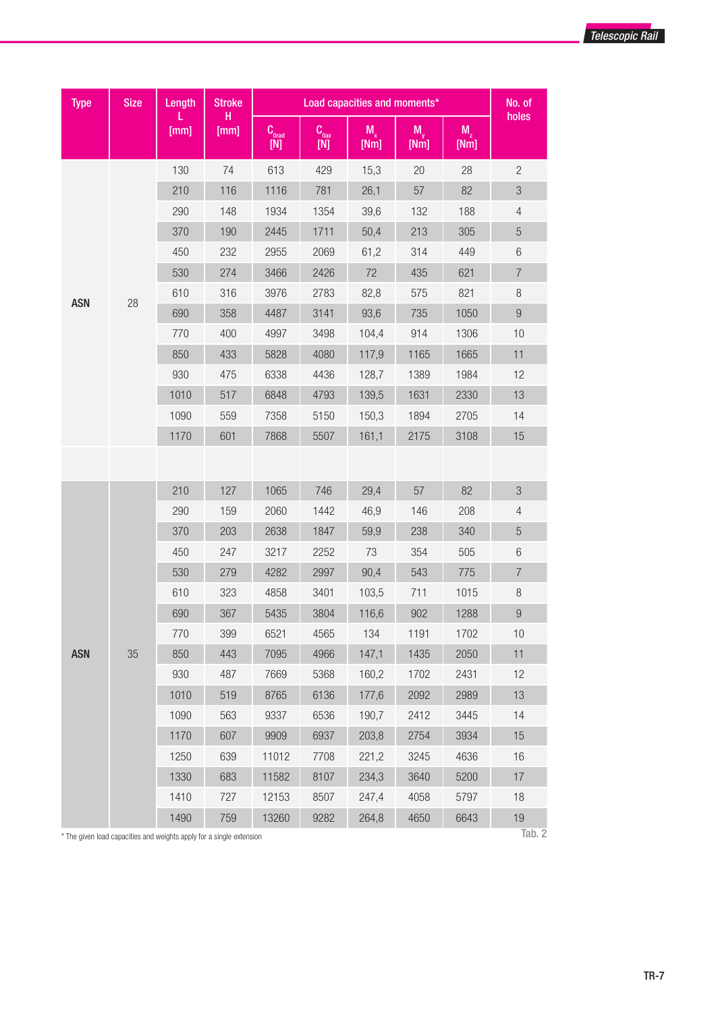

| <b>Type</b> | <b>Size</b> | Length    | <b>Stroke</b><br>н<br>[mm] |                                                                       | No. of                                                            |                     |                 |            |                  |
|-------------|-------------|-----------|----------------------------|-----------------------------------------------------------------------|-------------------------------------------------------------------|---------------------|-----------------|------------|------------------|
|             |             | L<br>[mm] |                            | $\begin{array}{c} \mathbf{C}_{\text{orad}} \\ \text{[N]} \end{array}$ | $\begin{array}{c} \mathbf{C}_{\rm{0ax}}\\ \text{[N]} \end{array}$ | $M_{\rm v}$<br>[Nm] | $M_{v}$<br>[Mm] | M,<br>[Nm] | holes            |
|             |             | 130       | 74                         | 613                                                                   | 429                                                               | 15,3                | 20              | 28         | $\overline{c}$   |
|             |             | 210       | 116                        | 1116                                                                  | 781                                                               | 26,1                | 57              | 82         | $\mathfrak{B}$   |
|             |             | 290       | 148                        | 1934                                                                  | 1354                                                              | 39,6                | 132             | 188        | $\overline{4}$   |
|             |             | 370       | 190                        | 2445                                                                  | 1711                                                              | 50,4                | 213             | 305        | $\sqrt{5}$       |
|             |             | 450       | 232                        | 2955                                                                  | 2069                                                              | 61,2                | 314             | 449        | $6\,$            |
|             |             | 530       | 274                        | 3466                                                                  | 2426                                                              | 72                  | 435             | 621        | $\boldsymbol{7}$ |
|             |             | 610       | 316                        | 3976                                                                  | 2783                                                              | 82,8                | 575             | 821        | $\, 8$           |
| <b>ASN</b>  | 28          | 690       | 358                        | 4487                                                                  | 3141                                                              | 93,6                | 735             | 1050       | $\boldsymbol{9}$ |
|             |             | 770       | 400                        | 4997                                                                  | 3498                                                              | 104,4               | 914             | 1306       | 10               |
|             |             | 850       | 433                        | 5828                                                                  | 4080                                                              | 117,9               | 1165            | 1665       | 11               |
|             |             | 930       | 475                        | 6338                                                                  | 4436                                                              | 128,7               | 1389            | 1984       | 12               |
|             |             | 1010      | 517                        | 6848                                                                  | 4793                                                              | 139,5               | 1631            | 2330       | 13               |
|             |             | 1090      | 559                        | 7358                                                                  | 5150                                                              | 150,3               | 1894            | 2705       | 14               |
|             |             | 1170      | 601                        | 7868                                                                  | 5507                                                              | 161,1               | 2175            | 3108       | 15               |
|             |             |           |                            |                                                                       |                                                                   |                     |                 |            |                  |
|             | 35          | 210       | 127                        | 1065                                                                  | 746                                                               | 29,4                | 57              | 82         | $\mathfrak{S}$   |
|             |             | 290       | 159                        | 2060                                                                  | 1442                                                              | 46,9                | 146             | 208        | $\overline{4}$   |
|             |             | 370       | 203                        | 2638                                                                  | 1847                                                              | 59,9                | 238             | 340        | $\sqrt{5}$       |
|             |             | 450       | 247                        | 3217                                                                  | 2252                                                              | 73                  | 354             | 505        | $\,6\,$          |
|             |             | 530       | 279                        | 4282                                                                  | 2997                                                              | 90,4                | 543             | 775        | $\overline{7}$   |
|             |             | 610       | 323                        | 4858                                                                  | 3401                                                              | 103,5               | 711             | 1015       | $\, 8$           |
|             |             | 690       | 367                        | 5435                                                                  | 3804                                                              | 116,6               | 902             | 1288       | $\boldsymbol{9}$ |
|             |             | 770       | 399                        | 6521                                                                  | 4565                                                              | 134                 | 1191            | 1702       | 10               |
| <b>ASN</b>  |             | 850       | 443                        | 7095                                                                  | 4966                                                              | 147,1               | 1435            | 2050       | 11               |
|             |             | 930       | 487                        | 7669                                                                  | 5368                                                              | 160,2               | 1702            | 2431       | 12               |
|             |             | 1010      | 519                        | 8765                                                                  | 6136                                                              | 177,6               | 2092            | 2989       | 13               |
|             |             | 1090      | 563                        | 9337                                                                  | 6536                                                              | 190,7               | 2412            | 3445       | 14               |
|             |             | 1170      | 607                        | 9909                                                                  | 6937                                                              | 203,8               | 2754            | 3934       | 15               |
|             |             | 1250      | 639                        | 11012                                                                 | 7708                                                              | 221,2               | 3245            | 4636       | 16               |
|             |             | 1330      | 683                        | 11582                                                                 | 8107                                                              | 234,3               | 3640            | 5200       | 17               |
|             |             | 1410      | 727                        | 12153                                                                 | 8507                                                              | 247,4               | 4058            | 5797       | 18               |
|             |             | 1490      | 759                        | 13260                                                                 | 9282                                                              | 264,8               | 4650            | 6643       | $19$             |

\* The given load capacities and weights apply for a single extension

Tab. 2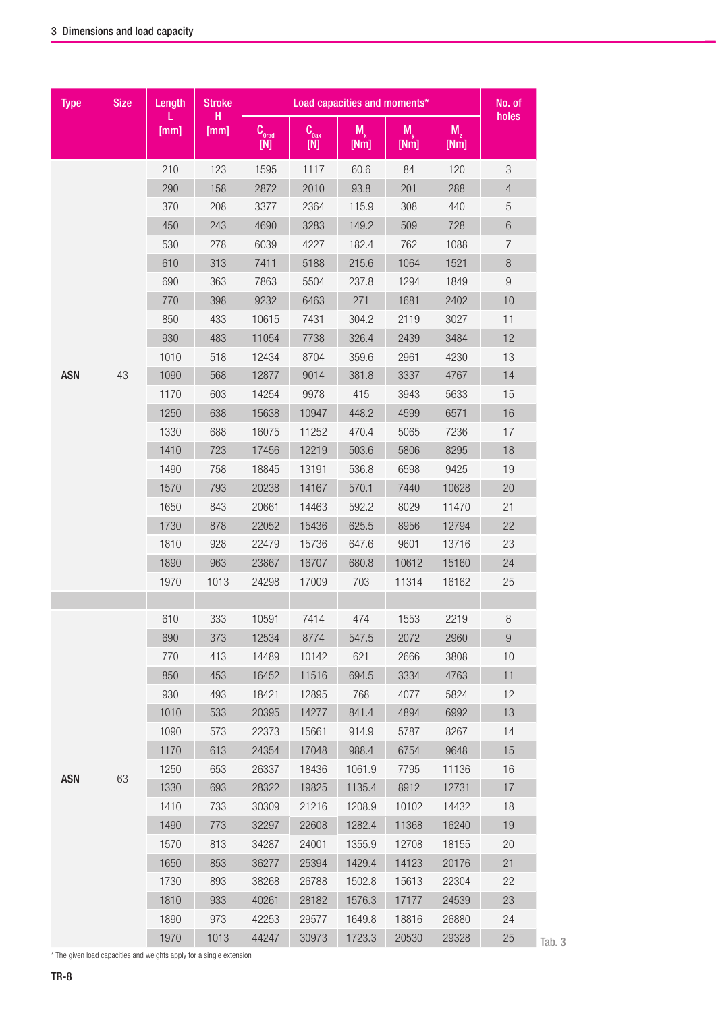| holes<br>н<br>$M_{v}$<br>$M_{2}$<br>[mm]<br>[mm]<br>$C_{\text{qrad}}$<br>$C_{\text{0ax}}$<br>$M_{x}$<br>[Nm]<br>[N]<br>$[{\sf N}]$<br>[Nm]<br>[Nm]<br>$\,3$<br>210<br>123<br>1595<br>1117<br>60.6<br>84<br>120<br>290<br>158<br>2872<br>2010<br>93.8<br>201<br>288<br>$\overline{4}$<br>5<br>370<br>208<br>3377<br>2364<br>115.9<br>308<br>440<br>$6\,$<br>450<br>243<br>4690<br>3283<br>149.2<br>509<br>728<br>530<br>182.4<br>1088<br>278<br>6039<br>4227<br>762<br>7<br>$\, 8$<br>313<br>215.6<br>1521<br>610<br>7411<br>5188<br>1064<br>690<br>363<br>5504<br>$\boldsymbol{9}$<br>7863<br>237.8<br>1294<br>1849<br>10<br>770<br>398<br>9232<br>6463<br>271<br>1681<br>2402<br>11<br>850<br>433<br>10615<br>7431<br>304.2<br>2119<br>3027<br>930<br>483<br>326.4<br>3484<br>12<br>11054<br>7738<br>2439<br>1010<br>359.6<br>2961<br>4230<br>13<br>518<br>12434<br>8704<br>43<br>568<br>12877<br>9014<br>381.8<br>3337<br>14<br>1090<br>4767<br>415<br>1170<br>603<br>14254<br>9978<br>3943<br>5633<br>15<br>16<br>1250<br>638<br>15638<br>10947<br>448.2<br>4599<br>6571<br>1330<br>688<br>11252<br>5065<br>7236<br>17<br>16075<br>470.4<br>723<br>12219<br>503.6<br>5806<br>8295<br>18<br>1410<br>17456<br>1490<br>13191<br>536.8<br>758<br>18845<br>6598<br>9425<br>19<br>1570<br>793<br>20238<br>14167<br>570.1<br>7440<br>10628<br>20<br>21<br>1650<br>843<br>20661<br>14463<br>592.2<br>8029<br>11470<br>625.5<br>8956<br>22<br>1730<br>878<br>22052<br>15436<br>12794<br>1810<br>928<br>15736<br>9601<br>13716<br>23<br>22479<br>647.6<br>963<br>23867<br>16707<br>680.8<br>15160<br>24<br>1890<br>10612<br>17009<br>1970<br>1013<br>24298<br>703<br>11314<br>16162<br>25<br>333<br>610<br>10591<br>7414<br>474<br>1553<br>2219<br>8<br>$\boldsymbol{9}$<br>690<br>373<br>12534<br>8774<br>547.5<br>2072<br>2960<br>770<br>413<br>14489<br>10142<br>621<br>2666<br>3808<br>10<br>850<br>453<br>16452<br>11516<br>694.5<br>3334<br>4763<br>11<br>930<br>493<br>12895<br>768<br>12<br>18421<br>4077<br>5824<br>14277<br>1010<br>533<br>20395<br>841.4<br>4894<br>6992<br>13<br>14<br>1090<br>573<br>22373<br>15661<br>914.9<br>5787<br>8267<br>613<br>17048<br>988.4<br>6754<br>9648<br>1170<br>24354<br>15<br>1250<br>653<br>26337<br>18436<br>1061.9<br>7795<br>11136<br>16<br><b>ASN</b><br>63<br>693<br>28322<br>19825<br>1135.4<br>8912<br>12731<br>17<br>1330<br>1410<br>733<br>30309<br>21216<br>1208.9<br>10102<br>14432<br>18<br>1490<br>773<br>32297<br>22608<br>1282.4<br>11368<br>16240<br>19<br>1570<br>813<br>34287<br>24001<br>1355.9<br>12708<br>18155<br>20<br>25394<br>1650<br>853<br>36277<br>1429.4<br>14123<br>20176<br>21<br>893<br>15613<br>22<br>1730<br>38268<br>26788<br>1502.8<br>22304<br>1810<br>933<br>40261<br>28182<br>1576.3<br>17177<br>24539<br>23<br>973<br>24<br>1890<br>42253<br>29577<br>1649.8<br>18816<br>26880 | <b>Type</b> | <b>Size</b> | Length | <b>Stroke</b> | Load capacities and moments* |       |        |       |       |    |
|-----------------------------------------------------------------------------------------------------------------------------------------------------------------------------------------------------------------------------------------------------------------------------------------------------------------------------------------------------------------------------------------------------------------------------------------------------------------------------------------------------------------------------------------------------------------------------------------------------------------------------------------------------------------------------------------------------------------------------------------------------------------------------------------------------------------------------------------------------------------------------------------------------------------------------------------------------------------------------------------------------------------------------------------------------------------------------------------------------------------------------------------------------------------------------------------------------------------------------------------------------------------------------------------------------------------------------------------------------------------------------------------------------------------------------------------------------------------------------------------------------------------------------------------------------------------------------------------------------------------------------------------------------------------------------------------------------------------------------------------------------------------------------------------------------------------------------------------------------------------------------------------------------------------------------------------------------------------------------------------------------------------------------------------------------------------------------------------------------------------------------------------------------------------------------------------------------------------------------------------------------------------------------------------------------------------------------------------------------------------------------------------------------------------------------------------------------------------------------------------------------------------------------------------------------------------------------------------------------------------------------------------------------------------------------------------------------------------------------------------------------------------------------------------------------------------------------------------------------------------|-------------|-------------|--------|---------------|------------------------------|-------|--------|-------|-------|----|
|                                                                                                                                                                                                                                                                                                                                                                                                                                                                                                                                                                                                                                                                                                                                                                                                                                                                                                                                                                                                                                                                                                                                                                                                                                                                                                                                                                                                                                                                                                                                                                                                                                                                                                                                                                                                                                                                                                                                                                                                                                                                                                                                                                                                                                                                                                                                                                                                                                                                                                                                                                                                                                                                                                                                                                                                                                                                 |             |             |        |               |                              |       |        |       |       |    |
|                                                                                                                                                                                                                                                                                                                                                                                                                                                                                                                                                                                                                                                                                                                                                                                                                                                                                                                                                                                                                                                                                                                                                                                                                                                                                                                                                                                                                                                                                                                                                                                                                                                                                                                                                                                                                                                                                                                                                                                                                                                                                                                                                                                                                                                                                                                                                                                                                                                                                                                                                                                                                                                                                                                                                                                                                                                                 |             |             |        |               |                              |       |        |       |       |    |
|                                                                                                                                                                                                                                                                                                                                                                                                                                                                                                                                                                                                                                                                                                                                                                                                                                                                                                                                                                                                                                                                                                                                                                                                                                                                                                                                                                                                                                                                                                                                                                                                                                                                                                                                                                                                                                                                                                                                                                                                                                                                                                                                                                                                                                                                                                                                                                                                                                                                                                                                                                                                                                                                                                                                                                                                                                                                 |             |             |        |               |                              |       |        |       |       |    |
|                                                                                                                                                                                                                                                                                                                                                                                                                                                                                                                                                                                                                                                                                                                                                                                                                                                                                                                                                                                                                                                                                                                                                                                                                                                                                                                                                                                                                                                                                                                                                                                                                                                                                                                                                                                                                                                                                                                                                                                                                                                                                                                                                                                                                                                                                                                                                                                                                                                                                                                                                                                                                                                                                                                                                                                                                                                                 |             |             |        |               |                              |       |        |       |       |    |
|                                                                                                                                                                                                                                                                                                                                                                                                                                                                                                                                                                                                                                                                                                                                                                                                                                                                                                                                                                                                                                                                                                                                                                                                                                                                                                                                                                                                                                                                                                                                                                                                                                                                                                                                                                                                                                                                                                                                                                                                                                                                                                                                                                                                                                                                                                                                                                                                                                                                                                                                                                                                                                                                                                                                                                                                                                                                 |             |             |        |               |                              |       |        |       |       |    |
|                                                                                                                                                                                                                                                                                                                                                                                                                                                                                                                                                                                                                                                                                                                                                                                                                                                                                                                                                                                                                                                                                                                                                                                                                                                                                                                                                                                                                                                                                                                                                                                                                                                                                                                                                                                                                                                                                                                                                                                                                                                                                                                                                                                                                                                                                                                                                                                                                                                                                                                                                                                                                                                                                                                                                                                                                                                                 |             |             |        |               |                              |       |        |       |       |    |
|                                                                                                                                                                                                                                                                                                                                                                                                                                                                                                                                                                                                                                                                                                                                                                                                                                                                                                                                                                                                                                                                                                                                                                                                                                                                                                                                                                                                                                                                                                                                                                                                                                                                                                                                                                                                                                                                                                                                                                                                                                                                                                                                                                                                                                                                                                                                                                                                                                                                                                                                                                                                                                                                                                                                                                                                                                                                 |             |             |        |               |                              |       |        |       |       |    |
|                                                                                                                                                                                                                                                                                                                                                                                                                                                                                                                                                                                                                                                                                                                                                                                                                                                                                                                                                                                                                                                                                                                                                                                                                                                                                                                                                                                                                                                                                                                                                                                                                                                                                                                                                                                                                                                                                                                                                                                                                                                                                                                                                                                                                                                                                                                                                                                                                                                                                                                                                                                                                                                                                                                                                                                                                                                                 |             |             |        |               |                              |       |        |       |       |    |
|                                                                                                                                                                                                                                                                                                                                                                                                                                                                                                                                                                                                                                                                                                                                                                                                                                                                                                                                                                                                                                                                                                                                                                                                                                                                                                                                                                                                                                                                                                                                                                                                                                                                                                                                                                                                                                                                                                                                                                                                                                                                                                                                                                                                                                                                                                                                                                                                                                                                                                                                                                                                                                                                                                                                                                                                                                                                 |             |             |        |               |                              |       |        |       |       |    |
|                                                                                                                                                                                                                                                                                                                                                                                                                                                                                                                                                                                                                                                                                                                                                                                                                                                                                                                                                                                                                                                                                                                                                                                                                                                                                                                                                                                                                                                                                                                                                                                                                                                                                                                                                                                                                                                                                                                                                                                                                                                                                                                                                                                                                                                                                                                                                                                                                                                                                                                                                                                                                                                                                                                                                                                                                                                                 |             |             |        |               |                              |       |        |       |       |    |
|                                                                                                                                                                                                                                                                                                                                                                                                                                                                                                                                                                                                                                                                                                                                                                                                                                                                                                                                                                                                                                                                                                                                                                                                                                                                                                                                                                                                                                                                                                                                                                                                                                                                                                                                                                                                                                                                                                                                                                                                                                                                                                                                                                                                                                                                                                                                                                                                                                                                                                                                                                                                                                                                                                                                                                                                                                                                 |             |             |        |               |                              |       |        |       |       |    |
|                                                                                                                                                                                                                                                                                                                                                                                                                                                                                                                                                                                                                                                                                                                                                                                                                                                                                                                                                                                                                                                                                                                                                                                                                                                                                                                                                                                                                                                                                                                                                                                                                                                                                                                                                                                                                                                                                                                                                                                                                                                                                                                                                                                                                                                                                                                                                                                                                                                                                                                                                                                                                                                                                                                                                                                                                                                                 |             |             |        |               |                              |       |        |       |       |    |
|                                                                                                                                                                                                                                                                                                                                                                                                                                                                                                                                                                                                                                                                                                                                                                                                                                                                                                                                                                                                                                                                                                                                                                                                                                                                                                                                                                                                                                                                                                                                                                                                                                                                                                                                                                                                                                                                                                                                                                                                                                                                                                                                                                                                                                                                                                                                                                                                                                                                                                                                                                                                                                                                                                                                                                                                                                                                 | <b>ASN</b>  |             |        |               |                              |       |        |       |       |    |
|                                                                                                                                                                                                                                                                                                                                                                                                                                                                                                                                                                                                                                                                                                                                                                                                                                                                                                                                                                                                                                                                                                                                                                                                                                                                                                                                                                                                                                                                                                                                                                                                                                                                                                                                                                                                                                                                                                                                                                                                                                                                                                                                                                                                                                                                                                                                                                                                                                                                                                                                                                                                                                                                                                                                                                                                                                                                 |             |             |        |               |                              |       |        |       |       |    |
|                                                                                                                                                                                                                                                                                                                                                                                                                                                                                                                                                                                                                                                                                                                                                                                                                                                                                                                                                                                                                                                                                                                                                                                                                                                                                                                                                                                                                                                                                                                                                                                                                                                                                                                                                                                                                                                                                                                                                                                                                                                                                                                                                                                                                                                                                                                                                                                                                                                                                                                                                                                                                                                                                                                                                                                                                                                                 |             |             |        |               |                              |       |        |       |       |    |
|                                                                                                                                                                                                                                                                                                                                                                                                                                                                                                                                                                                                                                                                                                                                                                                                                                                                                                                                                                                                                                                                                                                                                                                                                                                                                                                                                                                                                                                                                                                                                                                                                                                                                                                                                                                                                                                                                                                                                                                                                                                                                                                                                                                                                                                                                                                                                                                                                                                                                                                                                                                                                                                                                                                                                                                                                                                                 |             |             |        |               |                              |       |        |       |       |    |
|                                                                                                                                                                                                                                                                                                                                                                                                                                                                                                                                                                                                                                                                                                                                                                                                                                                                                                                                                                                                                                                                                                                                                                                                                                                                                                                                                                                                                                                                                                                                                                                                                                                                                                                                                                                                                                                                                                                                                                                                                                                                                                                                                                                                                                                                                                                                                                                                                                                                                                                                                                                                                                                                                                                                                                                                                                                                 |             |             |        |               |                              |       |        |       |       |    |
|                                                                                                                                                                                                                                                                                                                                                                                                                                                                                                                                                                                                                                                                                                                                                                                                                                                                                                                                                                                                                                                                                                                                                                                                                                                                                                                                                                                                                                                                                                                                                                                                                                                                                                                                                                                                                                                                                                                                                                                                                                                                                                                                                                                                                                                                                                                                                                                                                                                                                                                                                                                                                                                                                                                                                                                                                                                                 |             |             |        |               |                              |       |        |       |       |    |
|                                                                                                                                                                                                                                                                                                                                                                                                                                                                                                                                                                                                                                                                                                                                                                                                                                                                                                                                                                                                                                                                                                                                                                                                                                                                                                                                                                                                                                                                                                                                                                                                                                                                                                                                                                                                                                                                                                                                                                                                                                                                                                                                                                                                                                                                                                                                                                                                                                                                                                                                                                                                                                                                                                                                                                                                                                                                 |             |             |        |               |                              |       |        |       |       |    |
|                                                                                                                                                                                                                                                                                                                                                                                                                                                                                                                                                                                                                                                                                                                                                                                                                                                                                                                                                                                                                                                                                                                                                                                                                                                                                                                                                                                                                                                                                                                                                                                                                                                                                                                                                                                                                                                                                                                                                                                                                                                                                                                                                                                                                                                                                                                                                                                                                                                                                                                                                                                                                                                                                                                                                                                                                                                                 |             |             |        |               |                              |       |        |       |       |    |
|                                                                                                                                                                                                                                                                                                                                                                                                                                                                                                                                                                                                                                                                                                                                                                                                                                                                                                                                                                                                                                                                                                                                                                                                                                                                                                                                                                                                                                                                                                                                                                                                                                                                                                                                                                                                                                                                                                                                                                                                                                                                                                                                                                                                                                                                                                                                                                                                                                                                                                                                                                                                                                                                                                                                                                                                                                                                 |             |             |        |               |                              |       |        |       |       |    |
|                                                                                                                                                                                                                                                                                                                                                                                                                                                                                                                                                                                                                                                                                                                                                                                                                                                                                                                                                                                                                                                                                                                                                                                                                                                                                                                                                                                                                                                                                                                                                                                                                                                                                                                                                                                                                                                                                                                                                                                                                                                                                                                                                                                                                                                                                                                                                                                                                                                                                                                                                                                                                                                                                                                                                                                                                                                                 |             |             |        |               |                              |       |        |       |       |    |
|                                                                                                                                                                                                                                                                                                                                                                                                                                                                                                                                                                                                                                                                                                                                                                                                                                                                                                                                                                                                                                                                                                                                                                                                                                                                                                                                                                                                                                                                                                                                                                                                                                                                                                                                                                                                                                                                                                                                                                                                                                                                                                                                                                                                                                                                                                                                                                                                                                                                                                                                                                                                                                                                                                                                                                                                                                                                 |             |             |        |               |                              |       |        |       |       |    |
|                                                                                                                                                                                                                                                                                                                                                                                                                                                                                                                                                                                                                                                                                                                                                                                                                                                                                                                                                                                                                                                                                                                                                                                                                                                                                                                                                                                                                                                                                                                                                                                                                                                                                                                                                                                                                                                                                                                                                                                                                                                                                                                                                                                                                                                                                                                                                                                                                                                                                                                                                                                                                                                                                                                                                                                                                                                                 |             |             |        |               |                              |       |        |       |       |    |
|                                                                                                                                                                                                                                                                                                                                                                                                                                                                                                                                                                                                                                                                                                                                                                                                                                                                                                                                                                                                                                                                                                                                                                                                                                                                                                                                                                                                                                                                                                                                                                                                                                                                                                                                                                                                                                                                                                                                                                                                                                                                                                                                                                                                                                                                                                                                                                                                                                                                                                                                                                                                                                                                                                                                                                                                                                                                 |             |             |        |               |                              |       |        |       |       |    |
|                                                                                                                                                                                                                                                                                                                                                                                                                                                                                                                                                                                                                                                                                                                                                                                                                                                                                                                                                                                                                                                                                                                                                                                                                                                                                                                                                                                                                                                                                                                                                                                                                                                                                                                                                                                                                                                                                                                                                                                                                                                                                                                                                                                                                                                                                                                                                                                                                                                                                                                                                                                                                                                                                                                                                                                                                                                                 |             |             |        |               |                              |       |        |       |       |    |
|                                                                                                                                                                                                                                                                                                                                                                                                                                                                                                                                                                                                                                                                                                                                                                                                                                                                                                                                                                                                                                                                                                                                                                                                                                                                                                                                                                                                                                                                                                                                                                                                                                                                                                                                                                                                                                                                                                                                                                                                                                                                                                                                                                                                                                                                                                                                                                                                                                                                                                                                                                                                                                                                                                                                                                                                                                                                 |             |             |        |               |                              |       |        |       |       |    |
|                                                                                                                                                                                                                                                                                                                                                                                                                                                                                                                                                                                                                                                                                                                                                                                                                                                                                                                                                                                                                                                                                                                                                                                                                                                                                                                                                                                                                                                                                                                                                                                                                                                                                                                                                                                                                                                                                                                                                                                                                                                                                                                                                                                                                                                                                                                                                                                                                                                                                                                                                                                                                                                                                                                                                                                                                                                                 |             |             |        |               |                              |       |        |       |       |    |
|                                                                                                                                                                                                                                                                                                                                                                                                                                                                                                                                                                                                                                                                                                                                                                                                                                                                                                                                                                                                                                                                                                                                                                                                                                                                                                                                                                                                                                                                                                                                                                                                                                                                                                                                                                                                                                                                                                                                                                                                                                                                                                                                                                                                                                                                                                                                                                                                                                                                                                                                                                                                                                                                                                                                                                                                                                                                 |             |             |        |               |                              |       |        |       |       |    |
|                                                                                                                                                                                                                                                                                                                                                                                                                                                                                                                                                                                                                                                                                                                                                                                                                                                                                                                                                                                                                                                                                                                                                                                                                                                                                                                                                                                                                                                                                                                                                                                                                                                                                                                                                                                                                                                                                                                                                                                                                                                                                                                                                                                                                                                                                                                                                                                                                                                                                                                                                                                                                                                                                                                                                                                                                                                                 |             |             |        |               |                              |       |        |       |       |    |
|                                                                                                                                                                                                                                                                                                                                                                                                                                                                                                                                                                                                                                                                                                                                                                                                                                                                                                                                                                                                                                                                                                                                                                                                                                                                                                                                                                                                                                                                                                                                                                                                                                                                                                                                                                                                                                                                                                                                                                                                                                                                                                                                                                                                                                                                                                                                                                                                                                                                                                                                                                                                                                                                                                                                                                                                                                                                 |             |             |        |               |                              |       |        |       |       |    |
|                                                                                                                                                                                                                                                                                                                                                                                                                                                                                                                                                                                                                                                                                                                                                                                                                                                                                                                                                                                                                                                                                                                                                                                                                                                                                                                                                                                                                                                                                                                                                                                                                                                                                                                                                                                                                                                                                                                                                                                                                                                                                                                                                                                                                                                                                                                                                                                                                                                                                                                                                                                                                                                                                                                                                                                                                                                                 |             |             |        |               |                              |       |        |       |       |    |
|                                                                                                                                                                                                                                                                                                                                                                                                                                                                                                                                                                                                                                                                                                                                                                                                                                                                                                                                                                                                                                                                                                                                                                                                                                                                                                                                                                                                                                                                                                                                                                                                                                                                                                                                                                                                                                                                                                                                                                                                                                                                                                                                                                                                                                                                                                                                                                                                                                                                                                                                                                                                                                                                                                                                                                                                                                                                 |             |             |        |               |                              |       |        |       |       |    |
|                                                                                                                                                                                                                                                                                                                                                                                                                                                                                                                                                                                                                                                                                                                                                                                                                                                                                                                                                                                                                                                                                                                                                                                                                                                                                                                                                                                                                                                                                                                                                                                                                                                                                                                                                                                                                                                                                                                                                                                                                                                                                                                                                                                                                                                                                                                                                                                                                                                                                                                                                                                                                                                                                                                                                                                                                                                                 |             |             |        |               |                              |       |        |       |       |    |
|                                                                                                                                                                                                                                                                                                                                                                                                                                                                                                                                                                                                                                                                                                                                                                                                                                                                                                                                                                                                                                                                                                                                                                                                                                                                                                                                                                                                                                                                                                                                                                                                                                                                                                                                                                                                                                                                                                                                                                                                                                                                                                                                                                                                                                                                                                                                                                                                                                                                                                                                                                                                                                                                                                                                                                                                                                                                 |             |             |        |               |                              |       |        |       |       |    |
|                                                                                                                                                                                                                                                                                                                                                                                                                                                                                                                                                                                                                                                                                                                                                                                                                                                                                                                                                                                                                                                                                                                                                                                                                                                                                                                                                                                                                                                                                                                                                                                                                                                                                                                                                                                                                                                                                                                                                                                                                                                                                                                                                                                                                                                                                                                                                                                                                                                                                                                                                                                                                                                                                                                                                                                                                                                                 |             |             |        |               |                              |       |        |       |       |    |
|                                                                                                                                                                                                                                                                                                                                                                                                                                                                                                                                                                                                                                                                                                                                                                                                                                                                                                                                                                                                                                                                                                                                                                                                                                                                                                                                                                                                                                                                                                                                                                                                                                                                                                                                                                                                                                                                                                                                                                                                                                                                                                                                                                                                                                                                                                                                                                                                                                                                                                                                                                                                                                                                                                                                                                                                                                                                 |             |             |        |               |                              |       |        |       |       |    |
|                                                                                                                                                                                                                                                                                                                                                                                                                                                                                                                                                                                                                                                                                                                                                                                                                                                                                                                                                                                                                                                                                                                                                                                                                                                                                                                                                                                                                                                                                                                                                                                                                                                                                                                                                                                                                                                                                                                                                                                                                                                                                                                                                                                                                                                                                                                                                                                                                                                                                                                                                                                                                                                                                                                                                                                                                                                                 |             |             |        |               |                              |       |        |       |       |    |
|                                                                                                                                                                                                                                                                                                                                                                                                                                                                                                                                                                                                                                                                                                                                                                                                                                                                                                                                                                                                                                                                                                                                                                                                                                                                                                                                                                                                                                                                                                                                                                                                                                                                                                                                                                                                                                                                                                                                                                                                                                                                                                                                                                                                                                                                                                                                                                                                                                                                                                                                                                                                                                                                                                                                                                                                                                                                 |             |             |        |               |                              |       |        |       |       |    |
|                                                                                                                                                                                                                                                                                                                                                                                                                                                                                                                                                                                                                                                                                                                                                                                                                                                                                                                                                                                                                                                                                                                                                                                                                                                                                                                                                                                                                                                                                                                                                                                                                                                                                                                                                                                                                                                                                                                                                                                                                                                                                                                                                                                                                                                                                                                                                                                                                                                                                                                                                                                                                                                                                                                                                                                                                                                                 |             |             |        |               |                              |       |        |       |       |    |
|                                                                                                                                                                                                                                                                                                                                                                                                                                                                                                                                                                                                                                                                                                                                                                                                                                                                                                                                                                                                                                                                                                                                                                                                                                                                                                                                                                                                                                                                                                                                                                                                                                                                                                                                                                                                                                                                                                                                                                                                                                                                                                                                                                                                                                                                                                                                                                                                                                                                                                                                                                                                                                                                                                                                                                                                                                                                 |             |             |        |               |                              |       |        |       |       |    |
|                                                                                                                                                                                                                                                                                                                                                                                                                                                                                                                                                                                                                                                                                                                                                                                                                                                                                                                                                                                                                                                                                                                                                                                                                                                                                                                                                                                                                                                                                                                                                                                                                                                                                                                                                                                                                                                                                                                                                                                                                                                                                                                                                                                                                                                                                                                                                                                                                                                                                                                                                                                                                                                                                                                                                                                                                                                                 |             |             |        |               |                              |       |        |       |       |    |
|                                                                                                                                                                                                                                                                                                                                                                                                                                                                                                                                                                                                                                                                                                                                                                                                                                                                                                                                                                                                                                                                                                                                                                                                                                                                                                                                                                                                                                                                                                                                                                                                                                                                                                                                                                                                                                                                                                                                                                                                                                                                                                                                                                                                                                                                                                                                                                                                                                                                                                                                                                                                                                                                                                                                                                                                                                                                 |             |             | 1970   | 1013          | 44247                        | 30973 | 1723.3 | 20530 | 29328 | 25 |

\* The given load capacities and weights apply for a single extension